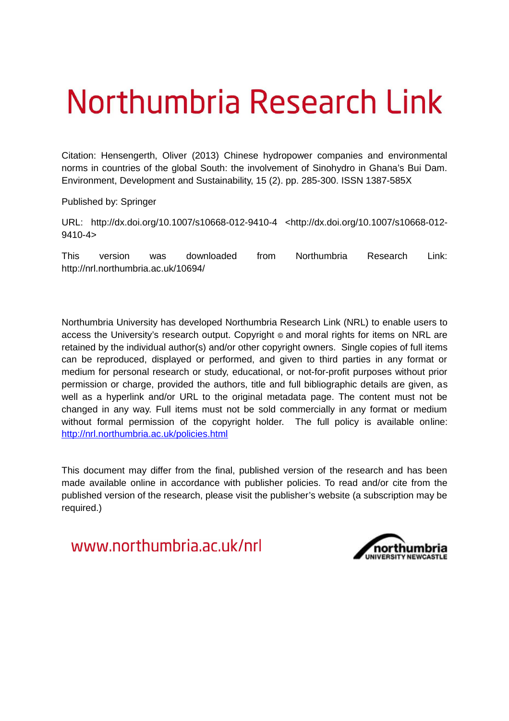# Northumbria Research Link

Citation: Hensengerth, Oliver (2013) Chinese hydropower companies and environmental norms in countries of the global South: the involvement of Sinohydro in Ghana's Bui Dam. Environment, Development and Sustainability, 15 (2). pp. 285-300. ISSN 1387-585X

Published by: Springer

URL: http://dx.doi.org/10.1007/s10668-012-9410-4 <http://dx.doi.org/10.1007/s10668-012- 9410-4>

This version was downloaded from Northumbria Research Link: http://nrl.northumbria.ac.uk/10694/

Northumbria University has developed Northumbria Research Link (NRL) to enable users to access the University's research output. Copyright  $\circ$  and moral rights for items on NRL are retained by the individual author(s) and/or other copyright owners. Single copies of full items can be reproduced, displayed or performed, and given to third parties in any format or medium for personal research or study, educational, or not-for-profit purposes without prior permission or charge, provided the authors, title and full bibliographic details are given, as well as a hyperlink and/or URL to the original metadata page. The content must not be changed in any way. Full items must not be sold commercially in any format or medium without formal permission of the copyright holder. The full policy is available online: <http://nrl.northumbria.ac.uk/policies.html>

This document may differ from the final, published version of the research and has been made available online in accordance with publisher policies. To read and/or cite from the published version of the research, please visit the publisher's website (a subscription may be required.)

www.northumbria.ac.uk/nrl

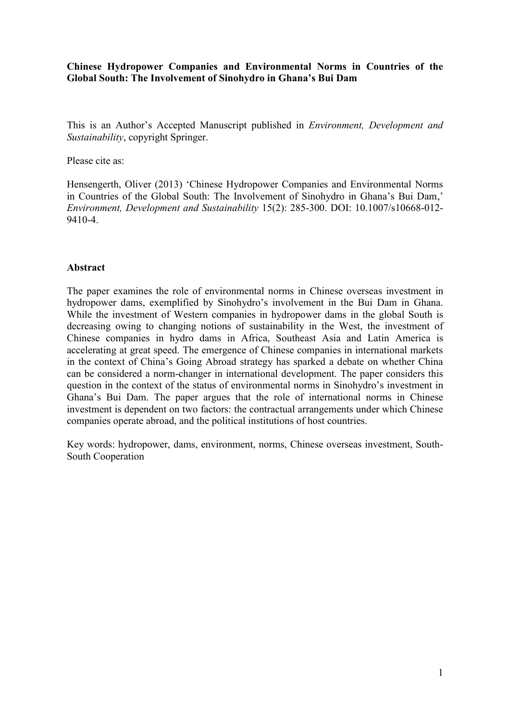## **Chinese Hydropower Companies and Environmental Norms in Countries of the Global South: The Involvement of Sinohydro in Ghana's Bui Dam**

This is an Author's Accepted Manuscript published in *Environment, Development and Sustainability*, copyright Springer.

Please cite as:

Hensengerth, Oliver (2013) 'Chinese Hydropower Companies and Environmental Norms in Countries of the Global South: The Involvement of Sinohydro in Ghana's Bui Dam,' *Environment, Development and Sustainability* 15(2): 285-300. DOI: 10.1007/s10668-012- 9410-4.

## **Abstract**

The paper examines the role of environmental norms in Chinese overseas investment in hydropower dams, exemplified by Sinohydro's involvement in the Bui Dam in Ghana. While the investment of Western companies in hydropower dams in the global South is decreasing owing to changing notions of sustainability in the West, the investment of Chinese companies in hydro dams in Africa, Southeast Asia and Latin America is accelerating at great speed. The emergence of Chinese companies in international markets in the context of China's Going Abroad strategy has sparked a debate on whether China can be considered a norm-changer in international development. The paper considers this question in the context of the status of environmental norms in Sinohydro's investment in Ghana's Bui Dam. The paper argues that the role of international norms in Chinese investment is dependent on two factors: the contractual arrangements under which Chinese companies operate abroad, and the political institutions of host countries.

Key words: hydropower, dams, environment, norms, Chinese overseas investment, South-South Cooperation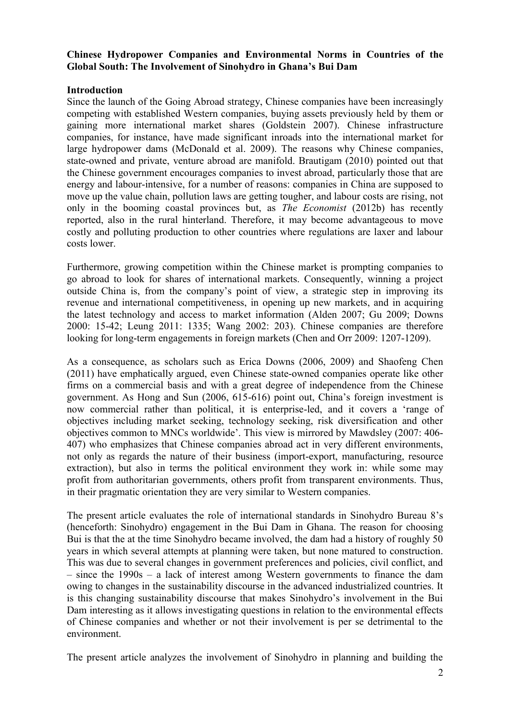## **Chinese Hydropower Companies and Environmental Norms in Countries of the Global South: The Involvement of Sinohydro in Ghana's Bui Dam**

## **Introduction**

Since the launch of the Going Abroad strategy, Chinese companies have been increasingly competing with established Western companies, buying assets previously held by them or gaining more international market shares (Goldstein 2007). Chinese infrastructure companies, for instance, have made significant inroads into the international market for large hydropower dams (McDonald et al. 2009). The reasons why Chinese companies, state-owned and private, venture abroad are manifold. Brautigam (2010) pointed out that the Chinese government encourages companies to invest abroad, particularly those that are energy and labour-intensive, for a number of reasons: companies in China are supposed to move up the value chain, pollution laws are getting tougher, and labour costs are rising, not only in the booming coastal provinces but, as *The Economist* (2012b) has recently reported, also in the rural hinterland. Therefore, it may become advantageous to move costly and polluting production to other countries where regulations are laxer and labour costs lower.

Furthermore, growing competition within the Chinese market is prompting companies to go abroad to look for shares of international markets. Consequently, winning a project outside China is, from the company's point of view, a strategic step in improving its revenue and international competitiveness, in opening up new markets, and in acquiring the latest technology and access to market information (Alden 2007; Gu 2009; Downs 2000: 15-42; Leung 2011: 1335; Wang 2002: 203). Chinese companies are therefore looking for long-term engagements in foreign markets (Chen and Orr 2009: 1207-1209).

As a consequence, as scholars such as Erica Downs (2006, 2009) and Shaofeng Chen (2011) have emphatically argued, even Chinese state-owned companies operate like other firms on a commercial basis and with a great degree of independence from the Chinese government. As Hong and Sun (2006, 615-616) point out, China's foreign investment is now commercial rather than political, it is enterprise-led, and it covers a 'range of objectives including market seeking, technology seeking, risk diversification and other objectives common to MNCs worldwide'. This view is mirrored by Mawdsley (2007: 406- 407) who emphasizes that Chinese companies abroad act in very different environments, not only as regards the nature of their business (import-export, manufacturing, resource extraction), but also in terms the political environment they work in: while some may profit from authoritarian governments, others profit from transparent environments. Thus, in their pragmatic orientation they are very similar to Western companies.

The present article evaluates the role of international standards in Sinohydro Bureau 8's (henceforth: Sinohydro) engagement in the Bui Dam in Ghana. The reason for choosing Bui is that the at the time Sinohydro became involved, the dam had a history of roughly 50 years in which several attempts at planning were taken, but none matured to construction. This was due to several changes in government preferences and policies, civil conflict, and – since the 1990s – a lack of interest among Western governments to finance the dam owing to changes in the sustainability discourse in the advanced industrialized countries. It is this changing sustainability discourse that makes Sinohydro's involvement in the Bui Dam interesting as it allows investigating questions in relation to the environmental effects of Chinese companies and whether or not their involvement is per se detrimental to the environment.

The present article analyzes the involvement of Sinohydro in planning and building the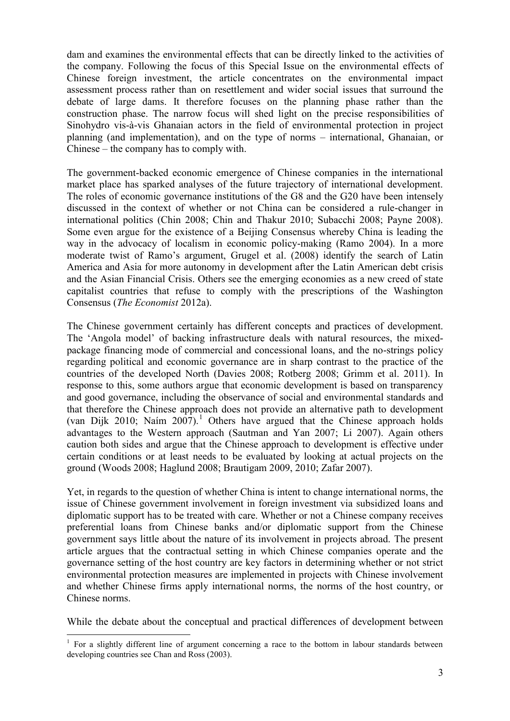dam and examines the environmental effects that can be directly linked to the activities of the company. Following the focus of this Special Issue on the environmental effects of Chinese foreign investment, the article concentrates on the environmental impact assessment process rather than on resettlement and wider social issues that surround the debate of large dams. It therefore focuses on the planning phase rather than the construction phase. The narrow focus will shed light on the precise responsibilities of Sinohydro vis-à-vis Ghanaian actors in the field of environmental protection in project planning (and implementation), and on the type of norms – international, Ghanaian, or Chinese – the company has to comply with.

The government-backed economic emergence of Chinese companies in the international market place has sparked analyses of the future trajectory of international development. The roles of economic governance institutions of the G8 and the G20 have been intensely discussed in the context of whether or not China can be considered a rule-changer in international politics (Chin 2008; Chin and Thakur 2010; Subacchi 2008; Payne 2008). Some even argue for the existence of a Beijing Consensus whereby China is leading the way in the advocacy of localism in economic policy-making (Ramo 2004). In a more moderate twist of Ramo's argument, Grugel et al. (2008) identify the search of Latin America and Asia for more autonomy in development after the Latin American debt crisis and the Asian Financial Crisis. Others see the emerging economies as a new creed of state capitalist countries that refuse to comply with the prescriptions of the Washington Consensus (*The Economist* 2012a).

The Chinese government certainly has different concepts and practices of development. The 'Angola model' of backing infrastructure deals with natural resources, the mixedpackage financing mode of commercial and concessional loans, and the no-strings policy regarding political and economic governance are in sharp contrast to the practice of the countries of the developed North (Davies 2008; Rotberg 2008; Grimm et al. 2011). In response to this, some authors argue that economic development is based on transparency and good governance, including the observance of social and environmental standards and that therefore the Chinese approach does not provide an alternative path to development (van Dijk 2010; Naím 2007).<sup>1</sup> Others have argued that the Chinese approach holds advantages to the Western approach (Sautman and Yan 2007; Li 2007). Again others caution both sides and argue that the Chinese approach to development is effective under certain conditions or at least needs to be evaluated by looking at actual projects on the ground (Woods 2008; Haglund 2008; Brautigam 2009, 2010; Zafar 2007).

Yet, in regards to the question of whether China is intent to change international norms, the issue of Chinese government involvement in foreign investment via subsidized loans and diplomatic support has to be treated with care. Whether or not a Chinese company receives preferential loans from Chinese banks and/or diplomatic support from the Chinese government says little about the nature of its involvement in projects abroad. The present article argues that the contractual setting in which Chinese companies operate and the governance setting of the host country are key factors in determining whether or not strict environmental protection measures are implemented in projects with Chinese involvement and whether Chinese firms apply international norms, the norms of the host country, or Chinese norms.

While the debate about the conceptual and practical differences of development between  $\overline{a}$ 

<sup>&</sup>lt;sup>1</sup> For a slightly different line of argument concerning a race to the bottom in labour standards between developing countries see Chan and Ross (2003).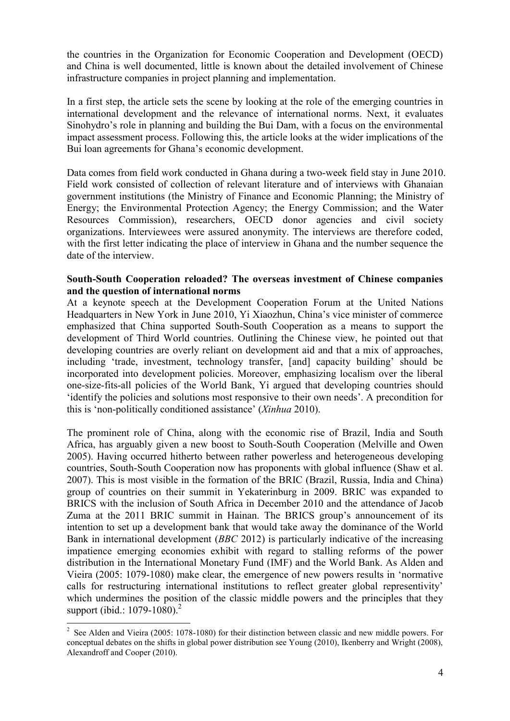the countries in the Organization for Economic Cooperation and Development (OECD) and China is well documented, little is known about the detailed involvement of Chinese infrastructure companies in project planning and implementation.

In a first step, the article sets the scene by looking at the role of the emerging countries in international development and the relevance of international norms. Next, it evaluates Sinohydro's role in planning and building the Bui Dam, with a focus on the environmental impact assessment process. Following this, the article looks at the wider implications of the Bui loan agreements for Ghana's economic development.

Data comes from field work conducted in Ghana during a two-week field stay in June 2010. Field work consisted of collection of relevant literature and of interviews with Ghanaian government institutions (the Ministry of Finance and Economic Planning; the Ministry of Energy; the Environmental Protection Agency; the Energy Commission; and the Water Resources Commission), researchers, OECD donor agencies and civil society organizations. Interviewees were assured anonymity. The interviews are therefore coded, with the first letter indicating the place of interview in Ghana and the number sequence the date of the interview.

## **South-South Cooperation reloaded? The overseas investment of Chinese companies and the question of international norms**

At a keynote speech at the Development Cooperation Forum at the United Nations Headquarters in New York in June 2010, Yi Xiaozhun, China's vice minister of commerce emphasized that China supported South-South Cooperation as a means to support the development of Third World countries. Outlining the Chinese view, he pointed out that developing countries are overly reliant on development aid and that a mix of approaches, including 'trade, investment, technology transfer, [and] capacity building' should be incorporated into development policies. Moreover, emphasizing localism over the liberal one-size-fits-all policies of the World Bank, Yi argued that developing countries should 'identify the policies and solutions most responsive to their own needs'. A precondition for this is 'non-politically conditioned assistance' (*Xinhua* 2010).

The prominent role of China, along with the economic rise of Brazil, India and South Africa, has arguably given a new boost to South-South Cooperation (Melville and Owen 2005). Having occurred hitherto between rather powerless and heterogeneous developing countries, South-South Cooperation now has proponents with global influence (Shaw et al. 2007). This is most visible in the formation of the BRIC (Brazil, Russia, India and China) group of countries on their summit in Yekaterinburg in 2009. BRIC was expanded to BRICS with the inclusion of South Africa in December 2010 and the attendance of Jacob Zuma at the 2011 BRIC summit in Hainan. The BRICS group's announcement of its intention to set up a development bank that would take away the dominance of the World Bank in international development (*BBC* 2012) is particularly indicative of the increasing impatience emerging economies exhibit with regard to stalling reforms of the power distribution in the International Monetary Fund (IMF) and the World Bank. As Alden and Vieira (2005: 1079-1080) make clear, the emergence of new powers results in 'normative calls for restructuring international institutions to reflect greater global representivity' which undermines the position of the classic middle powers and the principles that they support (ibid.: 1079-1080).<sup>2</sup>  $\overline{a}$ 

<sup>&</sup>lt;sup>2</sup> See Alden and Vieira (2005: 1078-1080) for their distinction between classic and new middle powers. For conceptual debates on the shifts in global power distribution see Young (2010), Ikenberry and Wright (2008), Alexandroff and Cooper (2010).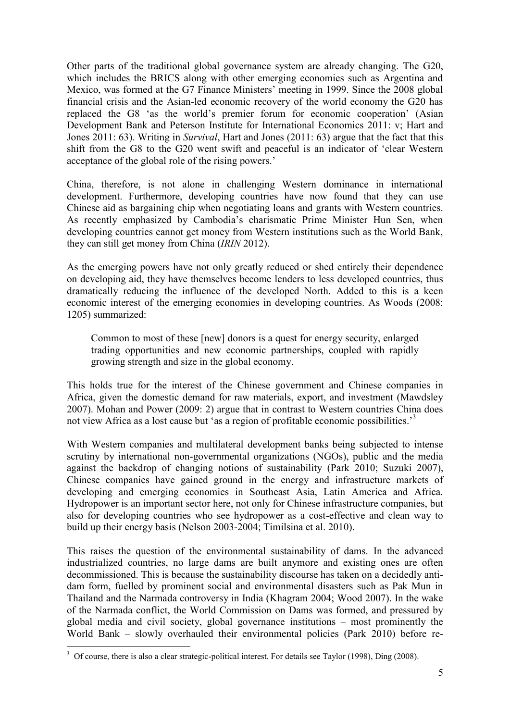Other parts of the traditional global governance system are already changing. The G20, which includes the BRICS along with other emerging economies such as Argentina and Mexico, was formed at the G7 Finance Ministers' meeting in 1999. Since the 2008 global financial crisis and the Asian-led economic recovery of the world economy the G20 has replaced the G8 'as the world's premier forum for economic cooperation' (Asian Development Bank and Peterson Institute for International Economics 2011: v; Hart and Jones 2011: 63). Writing in *Survival*, Hart and Jones (2011: 63) argue that the fact that this shift from the G8 to the G20 went swift and peaceful is an indicator of 'clear Western acceptance of the global role of the rising powers.'

China, therefore, is not alone in challenging Western dominance in international development. Furthermore, developing countries have now found that they can use Chinese aid as bargaining chip when negotiating loans and grants with Western countries. As recently emphasized by Cambodia's charismatic Prime Minister Hun Sen, when developing countries cannot get money from Western institutions such as the World Bank, they can still get money from China (*IRIN* 2012).

As the emerging powers have not only greatly reduced or shed entirely their dependence on developing aid, they have themselves become lenders to less developed countries, thus dramatically reducing the influence of the developed North. Added to this is a keen economic interest of the emerging economies in developing countries. As Woods (2008: 1205) summarized:

Common to most of these [new] donors is a quest for energy security, enlarged trading opportunities and new economic partnerships, coupled with rapidly growing strength and size in the global economy.

This holds true for the interest of the Chinese government and Chinese companies in Africa, given the domestic demand for raw materials, export, and investment (Mawdsley 2007). Mohan and Power (2009: 2) argue that in contrast to Western countries China does not view Africa as a lost cause but 'as a region of profitable economic possibilities.<sup>3</sup>

With Western companies and multilateral development banks being subjected to intense scrutiny by international non-governmental organizations (NGOs), public and the media against the backdrop of changing notions of sustainability (Park 2010; Suzuki 2007), Chinese companies have gained ground in the energy and infrastructure markets of developing and emerging economies in Southeast Asia, Latin America and Africa. Hydropower is an important sector here, not only for Chinese infrastructure companies, but also for developing countries who see hydropower as a cost-effective and clean way to build up their energy basis (Nelson 2003-2004; Timilsina et al. 2010).

This raises the question of the environmental sustainability of dams. In the advanced industrialized countries, no large dams are built anymore and existing ones are often decommissioned. This is because the sustainability discourse has taken on a decidedly antidam form, fuelled by prominent social and environmental disasters such as Pak Mun in Thailand and the Narmada controversy in India (Khagram 2004; Wood 2007). In the wake of the Narmada conflict, the World Commission on Dams was formed, and pressured by global media and civil society, global governance institutions – most prominently the World Bank – slowly overhauled their environmental policies (Park 2010) before re-  $\overline{a}$ 

<sup>&</sup>lt;sup>3</sup> Of course, there is also a clear strategic-political interest. For details see Taylor (1998), Ding (2008).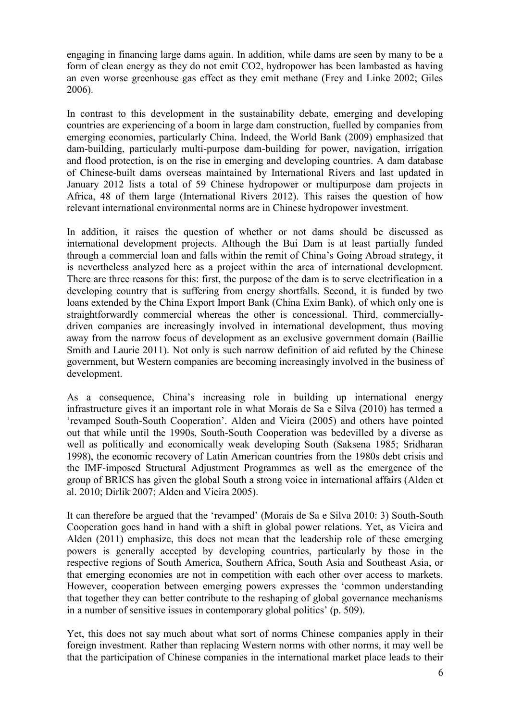engaging in financing large dams again. In addition, while dams are seen by many to be a form of clean energy as they do not emit CO2, hydropower has been lambasted as having an even worse greenhouse gas effect as they emit methane (Frey and Linke 2002; Giles 2006).

In contrast to this development in the sustainability debate, emerging and developing countries are experiencing of a boom in large dam construction, fuelled by companies from emerging economies, particularly China. Indeed, the World Bank (2009) emphasized that dam-building, particularly multi-purpose dam-building for power, navigation, irrigation and flood protection, is on the rise in emerging and developing countries. A dam database of Chinese-built dams overseas maintained by International Rivers and last updated in January 2012 lists a total of 59 Chinese hydropower or multipurpose dam projects in Africa, 48 of them large (International Rivers 2012). This raises the question of how relevant international environmental norms are in Chinese hydropower investment.

In addition, it raises the question of whether or not dams should be discussed as international development projects. Although the Bui Dam is at least partially funded through a commercial loan and falls within the remit of China's Going Abroad strategy, it is nevertheless analyzed here as a project within the area of international development. There are three reasons for this: first, the purpose of the dam is to serve electrification in a developing country that is suffering from energy shortfalls. Second, it is funded by two loans extended by the China Export Import Bank (China Exim Bank), of which only one is straightforwardly commercial whereas the other is concessional. Third, commerciallydriven companies are increasingly involved in international development, thus moving away from the narrow focus of development as an exclusive government domain (Baillie Smith and Laurie 2011). Not only is such narrow definition of aid refuted by the Chinese government, but Western companies are becoming increasingly involved in the business of development.

As a consequence, China's increasing role in building up international energy infrastructure gives it an important role in what Morais de Sa e Silva (2010) has termed a 'revamped South-South Cooperation'. Alden and Vieira (2005) and others have pointed out that while until the 1990s, South-South Cooperation was bedevilled by a diverse as well as politically and economically weak developing South (Saksena 1985; Sridharan 1998), the economic recovery of Latin American countries from the 1980s debt crisis and the IMF-imposed Structural Adjustment Programmes as well as the emergence of the group of BRICS has given the global South a strong voice in international affairs (Alden et al. 2010; Dirlik 2007; Alden and Vieira 2005).

It can therefore be argued that the 'revamped' (Morais de Sa e Silva 2010: 3) South-South Cooperation goes hand in hand with a shift in global power relations. Yet, as Vieira and Alden (2011) emphasize, this does not mean that the leadership role of these emerging powers is generally accepted by developing countries, particularly by those in the respective regions of South America, Southern Africa, South Asia and Southeast Asia, or that emerging economies are not in competition with each other over access to markets. However, cooperation between emerging powers expresses the 'common understanding that together they can better contribute to the reshaping of global governance mechanisms in a number of sensitive issues in contemporary global politics' (p. 509).

Yet, this does not say much about what sort of norms Chinese companies apply in their foreign investment. Rather than replacing Western norms with other norms, it may well be that the participation of Chinese companies in the international market place leads to their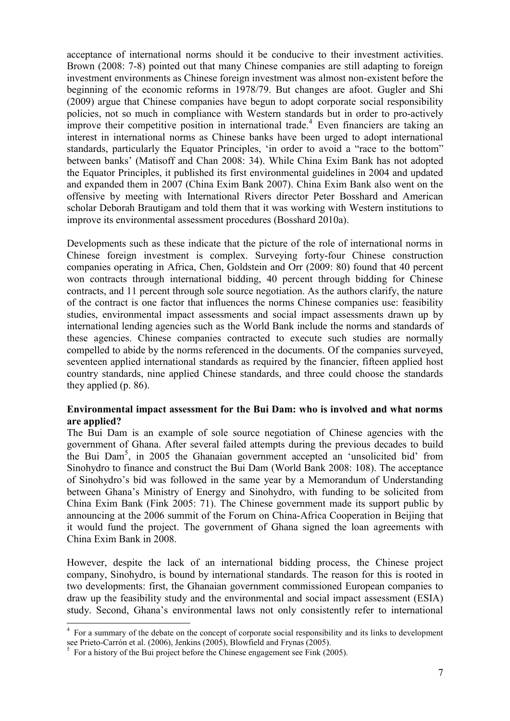acceptance of international norms should it be conducive to their investment activities. Brown (2008: 7-8) pointed out that many Chinese companies are still adapting to foreign investment environments as Chinese foreign investment was almost non-existent before the beginning of the economic reforms in 1978/79. But changes are afoot. Gugler and Shi (2009) argue that Chinese companies have begun to adopt corporate social responsibility policies, not so much in compliance with Western standards but in order to pro-actively improve their competitive position in international trade.<sup>4</sup> Even financiers are taking an interest in international norms as Chinese banks have been urged to adopt international standards, particularly the Equator Principles, 'in order to avoid a "race to the bottom" between banks' (Matisoff and Chan 2008: 34). While China Exim Bank has not adopted the Equator Principles, it published its first environmental guidelines in 2004 and updated and expanded them in 2007 (China Exim Bank 2007). China Exim Bank also went on the offensive by meeting with International Rivers director Peter Bosshard and American scholar Deborah Brautigam and told them that it was working with Western institutions to improve its environmental assessment procedures (Bosshard 2010a).

Developments such as these indicate that the picture of the role of international norms in Chinese foreign investment is complex. Surveying forty-four Chinese construction companies operating in Africa, Chen, Goldstein and Orr (2009: 80) found that 40 percent won contracts through international bidding, 40 percent through bidding for Chinese contracts, and 11 percent through sole source negotiation. As the authors clarify, the nature of the contract is one factor that influences the norms Chinese companies use: feasibility studies, environmental impact assessments and social impact assessments drawn up by international lending agencies such as the World Bank include the norms and standards of these agencies. Chinese companies contracted to execute such studies are normally compelled to abide by the norms referenced in the documents. Of the companies surveyed, seventeen applied international standards as required by the financier, fifteen applied host country standards, nine applied Chinese standards, and three could choose the standards they applied (p. 86).

## **Environmental impact assessment for the Bui Dam: who is involved and what norms are applied?**

The Bui Dam is an example of sole source negotiation of Chinese agencies with the government of Ghana. After several failed attempts during the previous decades to build the Bui Dam<sup>5</sup> , in 2005 the Ghanaian government accepted an 'unsolicited bid' from Sinohydro to finance and construct the Bui Dam (World Bank 2008: 108). The acceptance of Sinohydro's bid was followed in the same year by a Memorandum of Understanding between Ghana's Ministry of Energy and Sinohydro, with funding to be solicited from China Exim Bank (Fink 2005: 71). The Chinese government made its support public by announcing at the 2006 summit of the Forum on China-Africa Cooperation in Beijing that it would fund the project. The government of Ghana signed the loan agreements with China Exim Bank in 2008.

However, despite the lack of an international bidding process, the Chinese project company, Sinohydro, is bound by international standards. The reason for this is rooted in two developments: first, the Ghanaian government commissioned European companies to draw up the feasibility study and the environmental and social impact assessment (ESIA) study. Second, Ghana's environmental laws not only consistently refer to international  $\overline{a}$ 

<sup>&</sup>lt;sup>4</sup> For a summary of the debate on the concept of corporate social responsibility and its links to development see Prieto-Carrón et al. (2006), Jenkins (2005), Blowfield and Frynas (2005).

 $5$  For a history of the Bui project before the Chinese engagement see Fink (2005).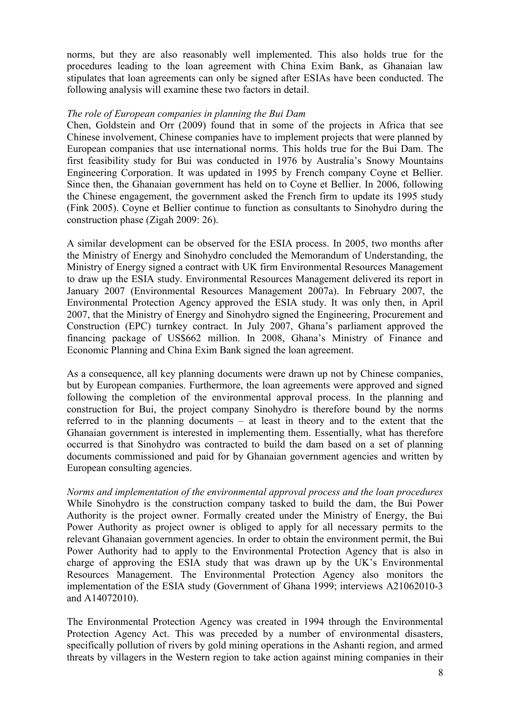norms, but they are also reasonably well implemented. This also holds true for the procedures leading to the loan agreement with China Exim Bank, as Ghanaian law stipulates that loan agreements can only be signed after ESIAs have been conducted. The following analysis will examine these two factors in detail.

## *The role of European companies in planning the Bui Dam*

Chen, Goldstein and Orr (2009) found that in some of the projects in Africa that see Chinese involvement, Chinese companies have to implement projects that were planned by European companies that use international norms. This holds true for the Bui Dam. The first feasibility study for Bui was conducted in 1976 by Australia's Snowy Mountains Engineering Corporation. It was updated in 1995 by French company Coyne et Bellier. Since then, the Ghanaian government has held on to Coyne et Bellier. In 2006, following the Chinese engagement, the government asked the French firm to update its 1995 study (Fink 2005). Coyne et Bellier continue to function as consultants to Sinohydro during the construction phase (Zigah 2009: 26).

A similar development can be observed for the ESIA process. In 2005, two months after the Ministry of Energy and Sinohydro concluded the Memorandum of Understanding, the Ministry of Energy signed a contract with UK firm Environmental Resources Management to draw up the ESIA study. Environmental Resources Management delivered its report in January 2007 (Environmental Resources Management 2007a). In February 2007, the Environmental Protection Agency approved the ESIA study. It was only then, in April 2007, that the Ministry of Energy and Sinohydro signed the Engineering, Procurement and Construction (EPC) turnkey contract. In July 2007, Ghana's parliament approved the financing package of US\$662 million. In 2008, Ghana's Ministry of Finance and Economic Planning and China Exim Bank signed the loan agreement.

As a consequence, all key planning documents were drawn up not by Chinese companies, but by European companies. Furthermore, the loan agreements were approved and signed following the completion of the environmental approval process. In the planning and construction for Bui, the project company Sinohydro is therefore bound by the norms referred to in the planning documents – at least in theory and to the extent that the Ghanaian government is interested in implementing them. Essentially, what has therefore occurred is that Sinohydro was contracted to build the dam based on a set of planning documents commissioned and paid for by Ghanaian government agencies and written by European consulting agencies.

*Norms and implementation of the environmental approval process and the loan procedures*  While Sinohydro is the construction company tasked to build the dam, the Bui Power Authority is the project owner. Formally created under the Ministry of Energy, the Bui Power Authority as project owner is obliged to apply for all necessary permits to the relevant Ghanaian government agencies. In order to obtain the environment permit, the Bui Power Authority had to apply to the Environmental Protection Agency that is also in charge of approving the ESIA study that was drawn up by the UK's Environmental Resources Management. The Environmental Protection Agency also monitors the implementation of the ESIA study (Government of Ghana 1999; interviews A21062010-3 and A14072010).

The Environmental Protection Agency was created in 1994 through the Environmental Protection Agency Act. This was preceded by a number of environmental disasters, specifically pollution of rivers by gold mining operations in the Ashanti region, and armed threats by villagers in the Western region to take action against mining companies in their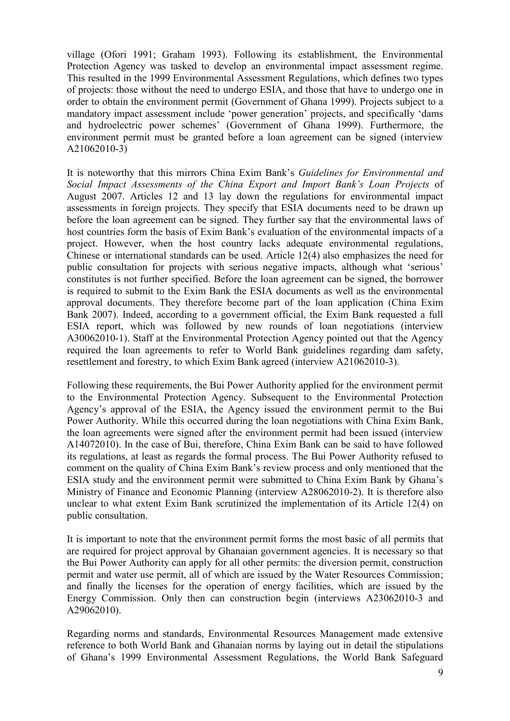village (Ofori 1991; Graham 1993). Following its establishment, the Environmental Protection Agency was tasked to develop an environmental impact assessment regime. This resulted in the 1999 Environmental Assessment Regulations, which defines two types of projects: those without the need to undergo ESIA, and those that have to undergo one in order to obtain the environment permit (Government of Ghana 1999). Projects subject to a mandatory impact assessment include 'power generation' projects, and specifically 'dams and hydroelectric power schemes' (Government of Ghana 1999). Furthermore, the environment permit must be granted before a loan agreement can be signed (interview A21062010-3)

It is noteworthy that this mirrors China Exim Bank's *Guidelines for Environmental and Social Impact Assessments of the China Export and Import Bank's Loan Projects* of August 2007. Articles 12 and 13 lay down the regulations for environmental impact assessments in foreign projects. They specify that ESIA documents need to be drawn up before the loan agreement can be signed. They further say that the environmental laws of host countries form the basis of Exim Bank's evaluation of the environmental impacts of a project. However, when the host country lacks adequate environmental regulations, Chinese or international standards can be used. Article 12(4) also emphasizes the need for public consultation for projects with serious negative impacts, although what 'serious' constitutes is not further specified. Before the loan agreement can be signed, the borrower is required to submit to the Exim Bank the ESIA documents as well as the environmental approval documents. They therefore become part of the loan application (China Exim Bank 2007). Indeed, according to a government official, the Exim Bank requested a full ESIA report, which was followed by new rounds of loan negotiations (interview A30062010-1). Staff at the Environmental Protection Agency pointed out that the Agency required the loan agreements to refer to World Bank guidelines regarding dam safety, resettlement and forestry, to which Exim Bank agreed (interview A21062010-3).

Following these requirements, the Bui Power Authority applied for the environment permit to the Environmental Protection Agency. Subsequent to the Environmental Protection Agency's approval of the ESIA, the Agency issued the environment permit to the Bui Power Authority. While this occurred during the loan negotiations with China Exim Bank, the loan agreements were signed after the environment permit had been issued (interview A14072010). In the case of Bui, therefore, China Exim Bank can be said to have followed its regulations, at least as regards the formal process. The Bui Power Authority refused to comment on the quality of China Exim Bank's review process and only mentioned that the ESIA study and the environment permit were submitted to China Exim Bank by Ghana's Ministry of Finance and Economic Planning (interview A28062010-2). It is therefore also unclear to what extent Exim Bank scrutinized the implementation of its Article 12(4) on public consultation.

It is important to note that the environment permit forms the most basic of all permits that are required for project approval by Ghanaian government agencies. It is necessary so that the Bui Power Authority can apply for all other permits: the diversion permit, construction permit and water use permit, all of which are issued by the Water Resources Commission; and finally the licenses for the operation of energy facilities, which are issued by the Energy Commission. Only then can construction begin (interviews A23062010-3 and A29062010).

Regarding norms and standards, Environmental Resources Management made extensive reference to both World Bank and Ghanaian norms by laying out in detail the stipulations of Ghana's 1999 Environmental Assessment Regulations, the World Bank Safeguard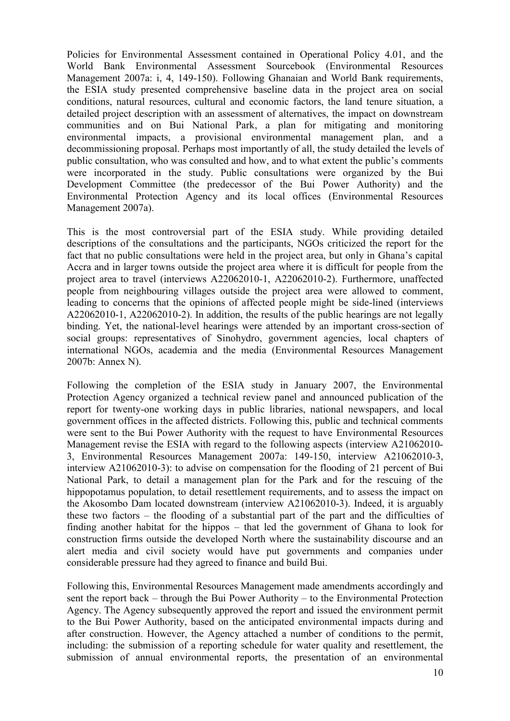Policies for Environmental Assessment contained in Operational Policy 4.01, and the World Bank Environmental Assessment Sourcebook (Environmental Resources Management 2007a: i, 4, 149-150). Following Ghanaian and World Bank requirements, the ESIA study presented comprehensive baseline data in the project area on social conditions, natural resources, cultural and economic factors, the land tenure situation, a detailed project description with an assessment of alternatives, the impact on downstream communities and on Bui National Park, a plan for mitigating and monitoring environmental impacts, a provisional environmental management plan, and a decommissioning proposal. Perhaps most importantly of all, the study detailed the levels of public consultation, who was consulted and how, and to what extent the public's comments were incorporated in the study. Public consultations were organized by the Bui Development Committee (the predecessor of the Bui Power Authority) and the Environmental Protection Agency and its local offices (Environmental Resources Management 2007a).

This is the most controversial part of the ESIA study. While providing detailed descriptions of the consultations and the participants, NGOs criticized the report for the fact that no public consultations were held in the project area, but only in Ghana's capital Accra and in larger towns outside the project area where it is difficult for people from the project area to travel (interviews A22062010-1, A22062010-2). Furthermore, unaffected people from neighbouring villages outside the project area were allowed to comment, leading to concerns that the opinions of affected people might be side-lined (interviews A22062010-1, A22062010-2). In addition, the results of the public hearings are not legally binding. Yet, the national-level hearings were attended by an important cross-section of social groups: representatives of Sinohydro, government agencies, local chapters of international NGOs, academia and the media (Environmental Resources Management 2007b: Annex N).

Following the completion of the ESIA study in January 2007, the Environmental Protection Agency organized a technical review panel and announced publication of the report for twenty-one working days in public libraries, national newspapers, and local government offices in the affected districts. Following this, public and technical comments were sent to the Bui Power Authority with the request to have Environmental Resources Management revise the ESIA with regard to the following aspects (interview A21062010- 3, Environmental Resources Management 2007a: 149-150, interview A21062010-3, interview A21062010-3): to advise on compensation for the flooding of 21 percent of Bui National Park, to detail a management plan for the Park and for the rescuing of the hippopotamus population, to detail resettlement requirements, and to assess the impact on the Akosombo Dam located downstream (interview A21062010-3). Indeed, it is arguably these two factors – the flooding of a substantial part of the part and the difficulties of finding another habitat for the hippos – that led the government of Ghana to look for construction firms outside the developed North where the sustainability discourse and an alert media and civil society would have put governments and companies under considerable pressure had they agreed to finance and build Bui.

Following this, Environmental Resources Management made amendments accordingly and sent the report back – through the Bui Power Authority – to the Environmental Protection Agency. The Agency subsequently approved the report and issued the environment permit to the Bui Power Authority, based on the anticipated environmental impacts during and after construction. However, the Agency attached a number of conditions to the permit, including: the submission of a reporting schedule for water quality and resettlement, the submission of annual environmental reports, the presentation of an environmental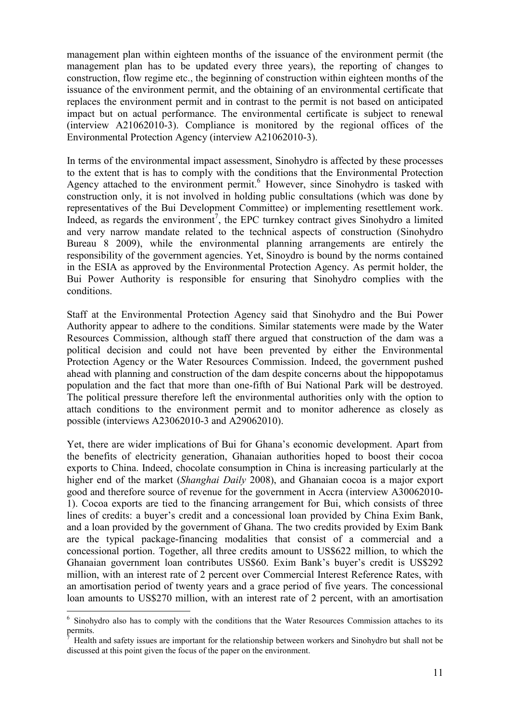management plan within eighteen months of the issuance of the environment permit (the management plan has to be updated every three years), the reporting of changes to construction, flow regime etc., the beginning of construction within eighteen months of the issuance of the environment permit, and the obtaining of an environmental certificate that replaces the environment permit and in contrast to the permit is not based on anticipated impact but on actual performance. The environmental certificate is subject to renewal (interview A21062010-3). Compliance is monitored by the regional offices of the Environmental Protection Agency (interview A21062010-3).

In terms of the environmental impact assessment, Sinohydro is affected by these processes to the extent that is has to comply with the conditions that the Environmental Protection Agency attached to the environment permit.<sup>6</sup> However, since Sinohydro is tasked with construction only, it is not involved in holding public consultations (which was done by representatives of the Bui Development Committee) or implementing resettlement work. Indeed, as regards the environment<sup>7</sup>, the EPC turnkey contract gives Sinohydro a limited and very narrow mandate related to the technical aspects of construction (Sinohydro Bureau 8 2009), while the environmental planning arrangements are entirely the responsibility of the government agencies. Yet, Sinoydro is bound by the norms contained in the ESIA as approved by the Environmental Protection Agency. As permit holder, the Bui Power Authority is responsible for ensuring that Sinohydro complies with the conditions.

Staff at the Environmental Protection Agency said that Sinohydro and the Bui Power Authority appear to adhere to the conditions. Similar statements were made by the Water Resources Commission, although staff there argued that construction of the dam was a political decision and could not have been prevented by either the Environmental Protection Agency or the Water Resources Commission. Indeed, the government pushed ahead with planning and construction of the dam despite concerns about the hippopotamus population and the fact that more than one-fifth of Bui National Park will be destroyed. The political pressure therefore left the environmental authorities only with the option to attach conditions to the environment permit and to monitor adherence as closely as possible (interviews A23062010-3 and A29062010).

Yet, there are wider implications of Bui for Ghana's economic development. Apart from the benefits of electricity generation, Ghanaian authorities hoped to boost their cocoa exports to China. Indeed, chocolate consumption in China is increasing particularly at the higher end of the market (*Shanghai Daily* 2008), and Ghanaian cocoa is a major export good and therefore source of revenue for the government in Accra (interview A30062010- 1). Cocoa exports are tied to the financing arrangement for Bui, which consists of three lines of credits: a buyer's credit and a concessional loan provided by China Exim Bank, and a loan provided by the government of Ghana. The two credits provided by Exim Bank are the typical package-financing modalities that consist of a commercial and a concessional portion. Together, all three credits amount to US\$622 million, to which the Ghanaian government loan contributes US\$60. Exim Bank's buyer's credit is US\$292 million, with an interest rate of 2 percent over Commercial Interest Reference Rates, with an amortisation period of twenty years and a grace period of five years. The concessional loan amounts to US\$270 million, with an interest rate of 2 percent, with an amortisation  $\overline{a}$ 

<sup>&</sup>lt;sup>6</sup> Sinohydro also has to comply with the conditions that the Water Resources Commission attaches to its permits.<br><sup>7</sup> Health

Health and safety issues are important for the relationship between workers and Sinohydro but shall not be discussed at this point given the focus of the paper on the environment.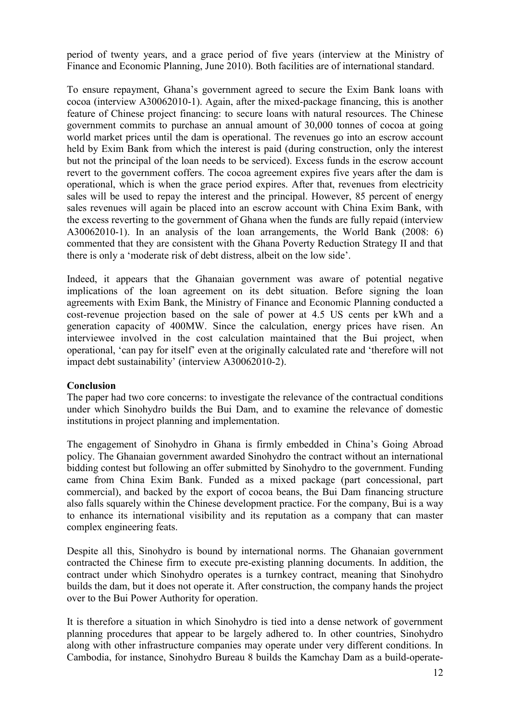period of twenty years, and a grace period of five years (interview at the Ministry of Finance and Economic Planning, June 2010). Both facilities are of international standard.

To ensure repayment, Ghana's government agreed to secure the Exim Bank loans with cocoa (interview A30062010-1). Again, after the mixed-package financing, this is another feature of Chinese project financing: to secure loans with natural resources. The Chinese government commits to purchase an annual amount of 30,000 tonnes of cocoa at going world market prices until the dam is operational. The revenues go into an escrow account held by Exim Bank from which the interest is paid (during construction, only the interest but not the principal of the loan needs to be serviced). Excess funds in the escrow account revert to the government coffers. The cocoa agreement expires five years after the dam is operational, which is when the grace period expires. After that, revenues from electricity sales will be used to repay the interest and the principal. However, 85 percent of energy sales revenues will again be placed into an escrow account with China Exim Bank, with the excess reverting to the government of Ghana when the funds are fully repaid (interview A30062010-1). In an analysis of the loan arrangements, the World Bank (2008: 6) commented that they are consistent with the Ghana Poverty Reduction Strategy II and that there is only a 'moderate risk of debt distress, albeit on the low side'.

Indeed, it appears that the Ghanaian government was aware of potential negative implications of the loan agreement on its debt situation. Before signing the loan agreements with Exim Bank, the Ministry of Finance and Economic Planning conducted a cost-revenue projection based on the sale of power at 4.5 US cents per kWh and a generation capacity of 400MW. Since the calculation, energy prices have risen. An interviewee involved in the cost calculation maintained that the Bui project, when operational, 'can pay for itself' even at the originally calculated rate and 'therefore will not impact debt sustainability' (interview A30062010-2).

## **Conclusion**

The paper had two core concerns: to investigate the relevance of the contractual conditions under which Sinohydro builds the Bui Dam, and to examine the relevance of domestic institutions in project planning and implementation.

The engagement of Sinohydro in Ghana is firmly embedded in China's Going Abroad policy. The Ghanaian government awarded Sinohydro the contract without an international bidding contest but following an offer submitted by Sinohydro to the government. Funding came from China Exim Bank. Funded as a mixed package (part concessional, part commercial), and backed by the export of cocoa beans, the Bui Dam financing structure also falls squarely within the Chinese development practice. For the company, Bui is a way to enhance its international visibility and its reputation as a company that can master complex engineering feats.

Despite all this, Sinohydro is bound by international norms. The Ghanaian government contracted the Chinese firm to execute pre-existing planning documents. In addition, the contract under which Sinohydro operates is a turnkey contract, meaning that Sinohydro builds the dam, but it does not operate it. After construction, the company hands the project over to the Bui Power Authority for operation.

It is therefore a situation in which Sinohydro is tied into a dense network of government planning procedures that appear to be largely adhered to. In other countries, Sinohydro along with other infrastructure companies may operate under very different conditions. In Cambodia, for instance, Sinohydro Bureau 8 builds the Kamchay Dam as a build-operate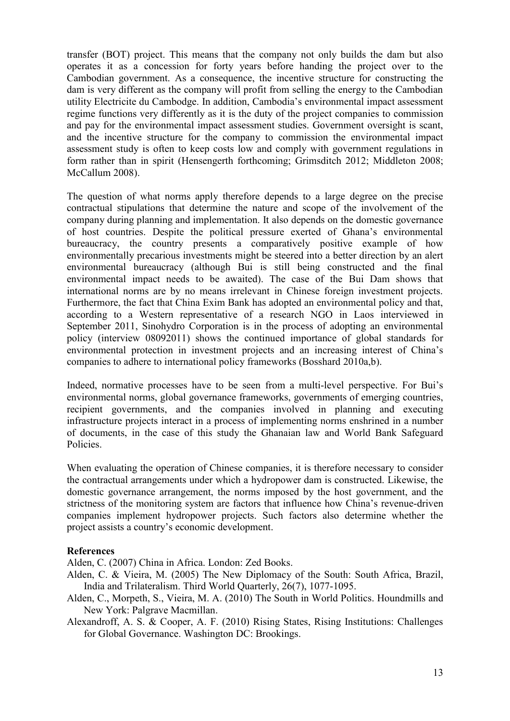transfer (BOT) project. This means that the company not only builds the dam but also operates it as a concession for forty years before handing the project over to the Cambodian government. As a consequence, the incentive structure for constructing the dam is very different as the company will profit from selling the energy to the Cambodian utility Electricite du Cambodge. In addition, Cambodia's environmental impact assessment regime functions very differently as it is the duty of the project companies to commission and pay for the environmental impact assessment studies. Government oversight is scant, and the incentive structure for the company to commission the environmental impact assessment study is often to keep costs low and comply with government regulations in form rather than in spirit (Hensengerth forthcoming; Grimsditch 2012; Middleton 2008; McCallum 2008).

The question of what norms apply therefore depends to a large degree on the precise contractual stipulations that determine the nature and scope of the involvement of the company during planning and implementation. It also depends on the domestic governance of host countries. Despite the political pressure exerted of Ghana's environmental bureaucracy, the country presents a comparatively positive example of how environmentally precarious investments might be steered into a better direction by an alert environmental bureaucracy (although Bui is still being constructed and the final environmental impact needs to be awaited). The case of the Bui Dam shows that international norms are by no means irrelevant in Chinese foreign investment projects. Furthermore, the fact that China Exim Bank has adopted an environmental policy and that, according to a Western representative of a research NGO in Laos interviewed in September 2011, Sinohydro Corporation is in the process of adopting an environmental policy (interview 08092011) shows the continued importance of global standards for environmental protection in investment projects and an increasing interest of China's companies to adhere to international policy frameworks (Bosshard 2010a,b).

Indeed, normative processes have to be seen from a multi-level perspective. For Bui's environmental norms, global governance frameworks, governments of emerging countries, recipient governments, and the companies involved in planning and executing infrastructure projects interact in a process of implementing norms enshrined in a number of documents, in the case of this study the Ghanaian law and World Bank Safeguard Policies.

When evaluating the operation of Chinese companies, it is therefore necessary to consider the contractual arrangements under which a hydropower dam is constructed. Likewise, the domestic governance arrangement, the norms imposed by the host government, and the strictness of the monitoring system are factors that influence how China's revenue-driven companies implement hydropower projects. Such factors also determine whether the project assists a country's economic development.

## **References**

Alden, C. (2007) China in Africa. London: Zed Books.

- Alden, C. & Vieira, M. (2005) The New Diplomacy of the South: South Africa, Brazil, India and Trilateralism. Third World Quarterly, 26(7), 1077-1095.
- Alden, C., Morpeth, S., Vieira, M. A. (2010) The South in World Politics. Houndmills and New York: Palgrave Macmillan.
- Alexandroff, A. S. & Cooper, A. F. (2010) Rising States, Rising Institutions: Challenges for Global Governance. Washington DC: Brookings.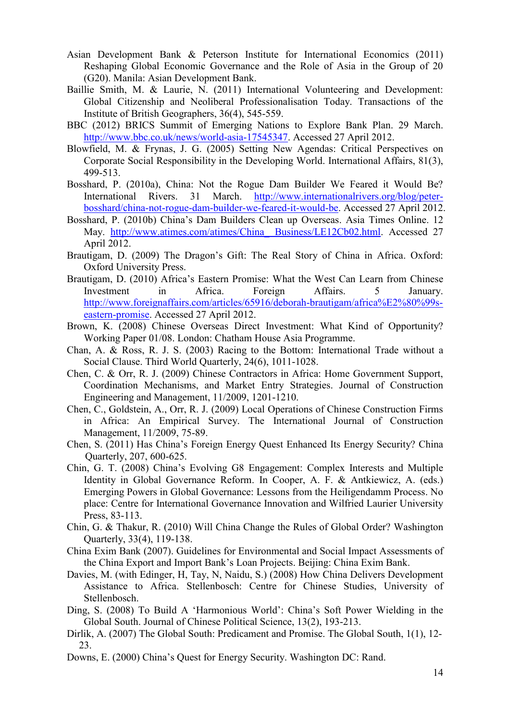- Asian Development Bank & Peterson Institute for International Economics (2011) Reshaping Global Economic Governance and the Role of Asia in the Group of 20 (G20). Manila: Asian Development Bank.
- Baillie Smith, M. & Laurie, N. (2011) International Volunteering and Development: Global Citizenship and Neoliberal Professionalisation Today. Transactions of the Institute of British Geographers, 36(4), 545-559.
- BBC (2012) BRICS Summit of Emerging Nations to Explore Bank Plan. 29 March. [http://www.bbc.co.uk/news/world-asia-17545347.](http://www.bbc.co.uk/news/world-asia-17545347) Accessed 27 April 2012.
- Blowfield, M. & Frynas, J. G. (2005) Setting New Agendas: Critical Perspectives on Corporate Social Responsibility in the Developing World. International Affairs, 81(3), 499-513.
- Bosshard, P. (2010a), China: Not the Rogue Dam Builder We Feared it Would Be? International Rivers. 31 March. [http://www.internationalrivers.org/blog/peter](http://www.internationalrivers.org/blog/peter-bosshard/china-not-rogue-dam-builder-we-feared-it-would-be)[bosshard/china-not-rogue-dam-builder-we-feared-it-would-be.](http://www.internationalrivers.org/blog/peter-bosshard/china-not-rogue-dam-builder-we-feared-it-would-be) Accessed 27 April 2012.
- Bosshard, P. (2010b) China's Dam Builders Clean up Overseas. Asia Times Online. 12 May. [http://www.atimes.com/atimes/China\\_ Business/LE12Cb02.html.](http://www.atimes.com/atimes/China_%20Business/LE12Cb02.html) Accessed 27 April 2012.
- Brautigam, D. (2009) The Dragon's Gift: The Real Story of China in Africa. Oxford: Oxford University Press.
- Brautigam, D. (2010) Africa's Eastern Promise: What the West Can Learn from Chinese Investment in Africa. Foreign Affairs. 5 January. [http://www.foreignaffairs.com/articles/65916/deborah-brautigam/africa%E2%80%99s](http://www.foreignaffairs.com/articles/65916/deborah-brautigam/africa%E2%80%99s-eastern-promise)[eastern-promise.](http://www.foreignaffairs.com/articles/65916/deborah-brautigam/africa%E2%80%99s-eastern-promise) Accessed 27 April 2012.
- Brown, K. (2008) Chinese Overseas Direct Investment: What Kind of Opportunity? Working Paper 01/08. London: Chatham House Asia Programme.
- Chan, A. & Ross, R. J. S. (2003) Racing to the Bottom: International Trade without a Social Clause. Third World Quarterly, 24(6), 1011-1028.
- Chen, C. & Orr, R. J. (2009) Chinese Contractors in Africa: Home Government Support, Coordination Mechanisms, and Market Entry Strategies. Journal of Construction Engineering and Management, 11/2009, 1201-1210.
- Chen, C., Goldstein, A., Orr, R. J. (2009) Local Operations of Chinese Construction Firms in Africa: An Empirical Survey. The International Journal of Construction Management, 11/2009, 75-89.
- Chen, S. (2011) Has China's Foreign Energy Quest Enhanced Its Energy Security? China Quarterly, 207, 600-625.
- Chin, G. T. (2008) China's Evolving G8 Engagement: Complex Interests and Multiple Identity in Global Governance Reform. In Cooper, A. F. & Antkiewicz, A. (eds.) Emerging Powers in Global Governance: Lessons from the Heiligendamm Process. No place: Centre for International Governance Innovation and Wilfried Laurier University Press, 83-113.
- Chin, G. & Thakur, R. (2010) Will China Change the Rules of Global Order? Washington Quarterly, 33(4), 119-138.
- China Exim Bank (2007). Guidelines for Environmental and Social Impact Assessments of the China Export and Import Bank's Loan Projects. Beijing: China Exim Bank.
- Davies, M. (with Edinger, H, Tay, N, Naidu, S.) (2008) How China Delivers Development Assistance to Africa. Stellenbosch: Centre for Chinese Studies, University of Stellenbosch.
- Ding, S. (2008) To Build A 'Harmonious World': China's Soft Power Wielding in the Global South. Journal of Chinese Political Science, 13(2), 193-213.
- Dirlik, A. (2007) The Global South: Predicament and Promise. The Global South, 1(1), 12- 23.
- Downs, E. (2000) China's Quest for Energy Security. Washington DC: Rand.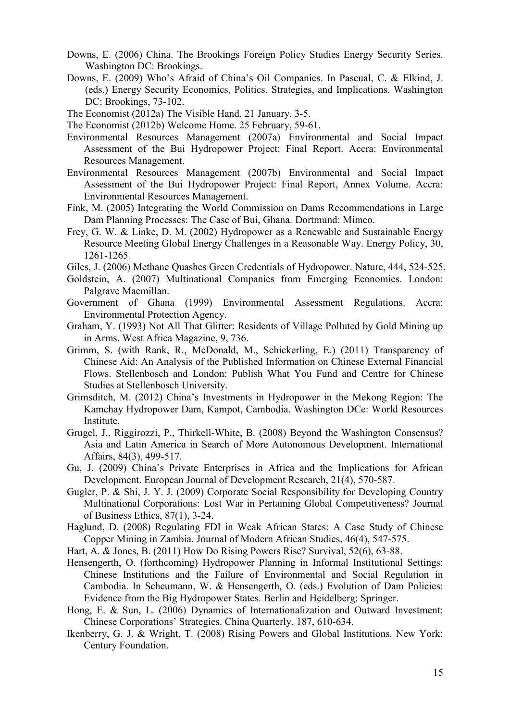- Downs, E. (2006) China. The Brookings Foreign Policy Studies Energy Security Series. Washington DC: Brookings.
- Downs, E. (2009) Who's Afraid of China's Oil Companies. In Pascual, C. & Elkind, J. (eds.) Energy Security Economics, Politics, Strategies, and Implications. Washington DC: Brookings, 73-102.
- The Economist (2012a) The Visible Hand. 21 January, 3-5.
- The Economist (2012b) Welcome Home. 25 February, 59-61.
- Environmental Resources Management (2007a) Environmental and Social Impact Assessment of the Bui Hydropower Project: Final Report. Accra: Environmental Resources Management.
- Environmental Resources Management (2007b) Environmental and Social Impact Assessment of the Bui Hydropower Project: Final Report, Annex Volume. Accra: Environmental Resources Management.
- Fink, M. (2005) Integrating the World Commission on Dams Recommendations in Large Dam Planning Processes: The Case of Bui, Ghana. Dortmund: Mimeo.
- Frey, G. W. & Linke, D. M. (2002) Hydropower as a Renewable and Sustainable Energy Resource Meeting Global Energy Challenges in a Reasonable Way. Energy Policy, 30, 1261-1265.
- Giles, J. (2006) Methane Quashes Green Credentials of Hydropower. Nature, 444, 524-525.
- Goldstein, A. (2007) Multinational Companies from Emerging Economies. London: Palgrave Macmillan.
- Government of Ghana (1999) Environmental Assessment Regulations. Accra: Environmental Protection Agency.
- Graham, Y. (1993) Not All That Glitter: Residents of Village Polluted by Gold Mining up in Arms. West Africa Magazine, 9, 736.
- Grimm, S. (with Rank, R., McDonald, M., Schickerling, E.) (2011) Transparency of Chinese Aid: An Analysis of the Published Information on Chinese External Financial Flows. Stellenbosch and London: Publish What You Fund and Centre for Chinese Studies at Stellenbosch University.
- Grimsditch, M. (2012) China's Investments in Hydropower in the Mekong Region: The Kamchay Hydropower Dam, Kampot, Cambodia. Washington DCe: World Resources Institute.
- Grugel, J., Riggirozzi, P., Thirkell-White, B. (2008) Beyond the Washington Consensus? Asia and Latin America in Search of More Autonomous Development. International Affairs, 84(3), 499-517.
- Gu, J. (2009) China's Private Enterprises in Africa and the Implications for African Development. European Journal of Development Research, 21(4), 570-587.
- Gugler, P. & Shi, J. Y. J. (2009) Corporate Social Responsibility for Developing Country Multinational Corporations: Lost War in Pertaining Global Competitiveness? Journal of Business Ethics, 87(1), 3-24.
- Haglund, D. (2008) Regulating FDI in Weak African States: A Case Study of Chinese Copper Mining in Zambia. Journal of Modern African Studies, 46(4), 547-575.
- Hart, A. & Jones, B. (2011) How Do Rising Powers Rise? Survival, 52(6), 63-88.
- Hensengerth, O. (forthcoming) Hydropower Planning in Informal Institutional Settings: Chinese Institutions and the Failure of Environmental and Social Regulation in Cambodia. In Scheumann, W. & Hensengerth, O. (eds.) Evolution of Dam Policies: Evidence from the Big Hydropower States. Berlin and Heidelberg: Springer.
- Hong, E. & Sun, L. (2006) Dynamics of Internationalization and Outward Investment: Chinese Corporations' Strategies. China Quarterly, 187, 610-634.
- Ikenberry, G. J. & Wright, T. (2008) Rising Powers and Global Institutions. New York: Century Foundation.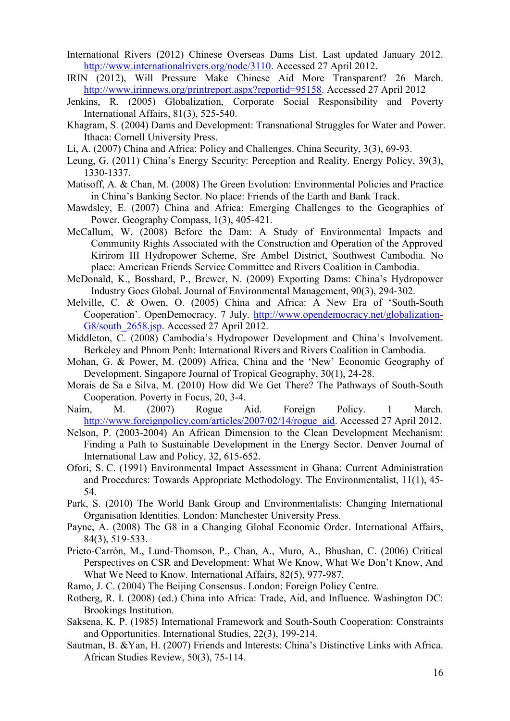- International Rivers (2012) Chinese Overseas Dams List. Last updated January 2012. [http://www.internationalrivers.org/node/3110.](http://www.internationalrivers.org/node/3110) Accessed 27 April 2012.
- IRIN (2012), Will Pressure Make Chinese Aid More Transparent? 26 March. [http://www.irinnews.org/printreport.aspx?reportid=95158.](http://www.irinnews.org/printreport.aspx?reportid=95158) Accessed 27 April 2012
- Jenkins, R. (2005) Globalization, Corporate Social Responsibility and Poverty International Affairs, 81(3), 525-540.
- Khagram, S. (2004) Dams and Development: Transnational Struggles for Water and Power. Ithaca: Cornell University Press.
- Li, A. (2007) China and Africa: Policy and Challenges. China Security, 3(3), 69-93.
- Leung, G. (2011) China's Energy Security: Perception and Reality. Energy Policy, 39(3), 1330-1337.
- Matisoff, A. & Chan, M. (2008) The Green Evolution: Environmental Policies and Practice in China's Banking Sector. No place: Friends of the Earth and Bank Track.
- Mawdsley, E. (2007) China and Africa: Emerging Challenges to the Geographies of Power. Geography Compass, 1(3), 405-421.
- McCallum, W. (2008) Before the Dam: A Study of Environmental Impacts and Community Rights Associated with the Construction and Operation of the Approved Kirirom III Hydropower Scheme, Sre Ambel District, Southwest Cambodia. No place: American Friends Service Committee and Rivers Coalition in Cambodia.
- McDonald, K., Bosshard, P., Brewer, N. (2009) Exporting Dams: China's Hydropower Industry Goes Global. Journal of Environmental Management, 90(3), 294-302.
- Melville, C. & Owen, O. (2005) China and Africa: A New Era of 'South-South Cooperation'. OpenDemocracy. 7 July. [http://www.opendemocracy.net/globalization-](http://www.opendemocracy.net/globalization-G8/south_2658.jsp)G8/south 2658.jsp. Accessed 27 April 2012.
- Middleton, C. (2008) Cambodia's Hydropower Development and China's Involvement. Berkeley and Phnom Penh: International Rivers and Rivers Coalition in Cambodia.
- Mohan, G. & Power, M. (2009) Africa, China and the 'New' Economic Geography of Development. Singapore Journal of Tropical Geography, 30(1), 24-28.
- Morais de Sa e Silva, M. (2010) How did We Get There? The Pathways of South-South Cooperation. Poverty in Focus, 20, 3-4.
- Naím, M. (2007) Rogue Aid. Foreign Policy. 1 March. [http://www.foreignpolicy.com/articles/2007/02/14/rogue\\_aid.](http://www.foreignpolicy.com/articles/2007/02/14/rogue_aid) Accessed 27 April 2012.
- Nelson, P. (2003-2004) An African Dimension to the Clean Development Mechanism: Finding a Path to Sustainable Development in the Energy Sector. Denver Journal of International Law and Policy, 32, 615-652.
- Ofori, S. C. (1991) Environmental Impact Assessment in Ghana: Current Administration and Procedures: Towards Appropriate Methodology. The Environmentalist, 11(1), 45- 54.
- Park, S. (2010) The World Bank Group and Environmentalists: Changing International Organisation Identities. London: Manchester University Press.
- Payne, A. (2008) The G8 in a Changing Global Economic Order. International Affairs, 84(3), 519-533.
- Prieto-Carrón, M., Lund-Thomson, P., Chan, A., Muro, A., Bhushan, C. (2006) Critical Perspectives on CSR and Development: What We Know, What We Don't Know, And What We Need to Know. International Affairs, 82(5), 977-987.
- Ramo, J. C. (2004) The Beijing Consensus. London: Foreign Policy Centre.
- Rotberg, R. I. (2008) (ed.) China into Africa: Trade, Aid, and Influence. Washington DC: Brookings Institution.
- Saksena, K. P. (1985) International Framework and South-South Cooperation: Constraints and Opportunities. International Studies, 22(3), 199-214.
- Sautman, B. &Yan, H. (2007) Friends and Interests: China's Distinctive Links with Africa. African Studies Review, 50(3), 75-114.